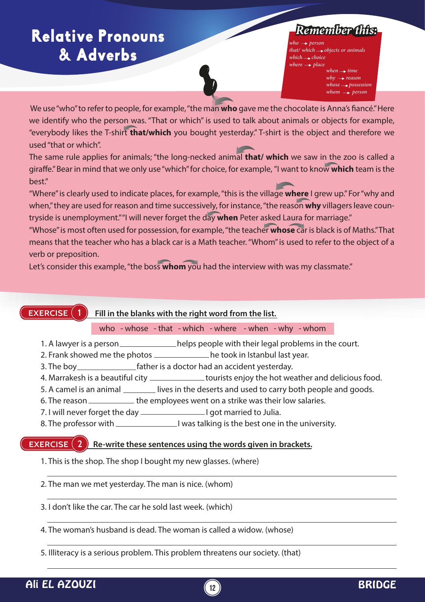# Relative Pronouns **&** Adverbs

## *Remember this:*

 $who \rightarrow person$ *that/ which objects or animals*  $which \rightarrow choice$  $where \rightarrow place$ *when*  $\rightarrow$  *time*  $why \rightarrow reason$ 

*whose possession*  whom  $\rightarrow$  person

We use "who" to refer to people, for example, "the man who gave me the chocolate is Anna's fiancé." Here we identify who the person was. "That or which" is used to talk about animals or objects for example, "everybody likes the T-shirt **that/which** you bought yesterday." T-shirt is the object and therefore we used "that or which".

The same rule applies for animals; "the long-necked animal **that/ which** we saw in the zoo is called a giraffe." Bear in mind that we only use "which" for choice, for example, "I want to know which team is the best."

"Where" is clearly used to indicate places, for example, "this is the village **where** I grew up." For "why and when," they are used for reason and time successively, for instance, "the reason **why** villagers leave countryside is unemployment." "I will never forget the day **when** Peter asked Laura for marriage."

"Whose" is most often used for possession, for example, "the teacher **whose** car is black is of Maths." That means that the teacher who has a black car is a Math teacher. "Whom" is used to refer to the object of a verb or preposition.

Let's consider this example, "the boss **whom** you had the interview with was my classmate."

#### **EXERCISE**

 **Fill in the blanks with the right word from the list.**

#### who - whose - that - which - where - when - why - whom

- 1. A lawyer is a person \_\_\_\_\_\_\_\_\_\_\_\_\_\_helps people with their legal problems in the court.
- 2. Frank showed me the photos \_\_\_\_\_\_\_\_\_\_\_\_\_\_ he took in Istanbul last year.
- 3. The boy **Father is a doctor had an accident yesterday.**
- 4. Marrakesh is a beautiful city \_\_\_\_\_\_\_\_\_\_\_\_\_\_\_tourists enjoy the hot weather and delicious food.
- 5. A camel is an animal \_\_\_\_\_\_\_\_ lives in the deserts and used to carry both people and goods.
- 6. The reason \_\_\_\_\_\_\_\_\_\_\_\_\_\_ the employees went on a strike was their low salaries.
- 7. I will never forget the day I got married to Julia.
- 8. The professor with I was talking is the best one in the university.

#### **EXERCISE (2)** Re-write these sentences using the words given in brackets.

- 1. This is the shop. The shop I bought my new glasses. (where)
- 2. The man we met yesterday. The man is nice. (whom)
- 3. I don't like the car. The car he sold last week. (which)
- 4. The woman's husband is dead. The woman is called a widow. (whose)
- 5. Illiteracy is a serious problem. This problem threatens our society. (that)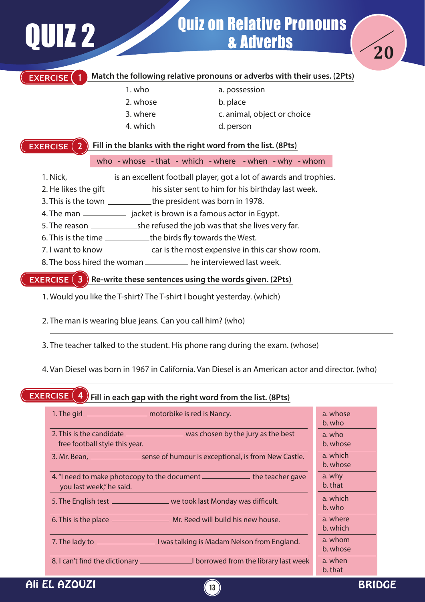# Quiz on Relative Pronouns<br>a Adverbs



#### **Match the following relative pronouns or adverbs with their uses. (2Pts)**

1. who

**EXERCISE 1**

- 2. whose
- 3. where
- 4. which

a. possession b. place

- c. animal, object or choice
- d. person

#### **Fill in the blanks with the right word from the list. (8Pts) EXERCISE**

who - whose - that - which - where - when - why - whom

- 1. Nick, \_\_\_\_\_\_\_\_\_\_\_\_\_\_ is an excellent football player, got a lot of awards and trophies.
- 2. He likes the gift \_\_\_\_\_\_\_\_\_\_\_\_his sister sent to him for his birthday last week.
- 3. This is the town \_\_\_\_\_\_\_\_\_\_\_\_\_the president was born in 1978.
- 4. The man \_\_\_\_\_\_\_\_\_\_\_\_\_ jacket is brown is a famous actor in Egypt.
- 5. The reason she refused the job was that she lives very far.
- 6. This is the time \_\_\_\_\_\_\_\_\_\_\_\_the birds fly towards the West.
- 7. I want to know \_\_\_\_\_\_\_\_\_\_\_\_\_\_ car is the most expensive in this car show room.
- 8. The boss hired the woman <u>end on the interviewed last week</u>.

#### **EXERCISE (3) Re-write these sentences using the words given. (2Pts)**

- 1. Would you like the T-shirt? The T-shirt I bought yesterday. (which)
- 2. The man is wearing blue jeans. Can you call him? (who)
- 3. The teacher talked to the student. His phone rang during the exam. (whose)
- 4. Van Diesel was born in 1967 in California. Van Diesel is an American actor and director. (who)

#### **Fill in each gap with the right word from the list. (8Pts) EXERCISE**

| 1. The girl _______________________ motorbike is red is Nancy.                                                   | a. whose<br>b. who   |
|------------------------------------------------------------------------------------------------------------------|----------------------|
| 2. This is the candidate __________________ was chosen by the jury as the best<br>free football style this year. | a. who<br>b. whose   |
| 3. Mr. Bean, ______________________sense of humour is exceptional, is from New Castle.                           | a. which<br>b. whose |
| 4. "I need to make photocopy to the document _______________ the teacher gave<br>you last week," he said.        | a. why<br>b. that    |
| 5. The English test ____________________ we took last Monday was difficult.                                      | a. which<br>b. who   |
|                                                                                                                  | a. where<br>b. which |
|                                                                                                                  | a. whom<br>b. whose  |
|                                                                                                                  | a. when<br>b. that   |

**13**

### Ali EL AZOUZI BRIDGE